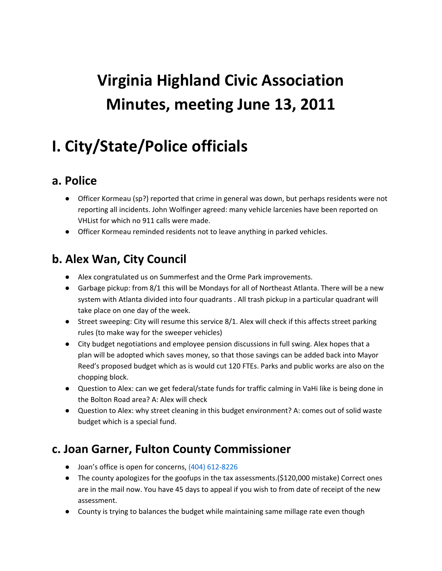# **Virginia Highland Civic Association Minutes, meeting June 13, 2011**

## **I. City/State/Police officials**

#### **a. Police**

- Officer Kormeau (sp?) reported that crime in general was down, but perhaps residents were not reporting all incidents. John Wolfinger agreed: many vehicle larcenies have been reported on VHList for which no 911 calls were made.
- Officer Kormeau reminded residents not to leave anything in parked vehicles.

#### **b. Alex Wan, City Council**

- Alex congratulated us on Summerfest and the Orme Park improvements.
- Garbage pickup: from 8/1 this will be Mondays for all of Northeast Atlanta. There will be a new system with Atlanta divided into four quadrants . All trash pickup in a particular quadrant will take place on one day of the week.
- Street sweeping: City will resume this service 8/1. Alex will check if this affects street parking rules (to make way for the sweeper vehicles)
- City budget negotiations and employee pension discussions in full swing. Alex hopes that a plan will be adopted which saves money, so that those savings can be added back into Mayor Reed's proposed budget which as is would cut 120 FTEs. Parks and public works are also on the chopping block.
- Question to Alex: can we get federal/state funds for traffic calming in VaHi like is being done in the Bolton Road area? A: Alex will check
- Question to Alex: why street cleaning in this budget environment? A: comes out of solid waste budget which is a special fund.

#### **c. Joan Garner, Fulton County Commissioner**

- Joan's office is open for concerns, (404) 612-8226
- The county apologizes for the goofups in the tax assessments.(\$120,000 mistake) Correct ones are in the mail now. You have 45 days to appeal if you wish to from date of receipt of the new assessment.
- County is trying to balances the budget while maintaining same millage rate even though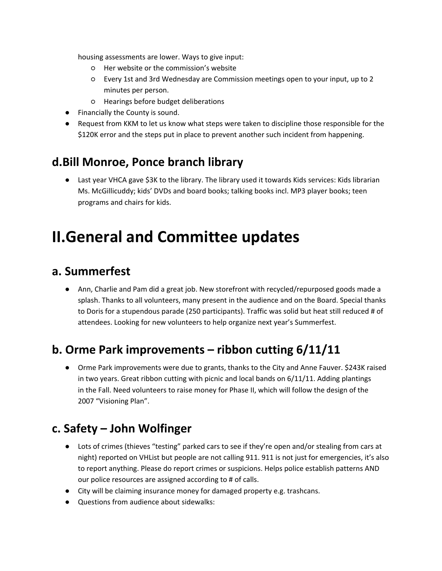housing assessments are lower. Ways to give input:

- Her website or the commission's website
- Every 1st and 3rd Wednesday are Commission meetings open to your input, up to 2 minutes per person.
- Hearings before budget deliberations
- Financially the County is sound.
- Request from KKM to let us know what steps were taken to discipline those responsible for the \$120K error and the steps put in place to prevent another such incident from happening.

#### **d.Bill Monroe, Ponce branch library**

● Last year VHCA gave \$3K to the library. The library used it towards Kids services: Kids librarian Ms. McGillicuddy; kids' DVDs and board books; talking books incl. MP3 player books; teen programs and chairs for kids.

### **II.General and Committee updates**

#### **a. Summerfest**

● Ann, Charlie and Pam did a great job. New storefront with recycled/repurposed goods made a splash. Thanks to all volunteers, many present in the audience and on the Board. Special thanks to Doris for a stupendous parade (250 participants). Traffic was solid but heat still reduced # of attendees. Looking for new volunteers to help organize next year's Summerfest.

#### **b. Orme Park improvements – ribbon cutting 6/11/11**

● Orme Park improvements were due to grants, thanks to the City and Anne Fauver. \$243K raised in two years. Great ribbon cutting with picnic and local bands on 6/11/11. Adding plantings in the Fall. Need volunteers to raise money for Phase II, which will follow the design of the 2007 "Visioning Plan".

#### **c. Safety – John Wolfinger**

- Lots of crimes (thieves "testing" parked cars to see if they're open and/or stealing from cars at night) reported on VHList but people are not calling 911. 911 is not just for emergencies, it's also to report anything. Please do report crimes or suspicions. Helps police establish patterns AND our police resources are assigned according to # of calls.
- City will be claiming insurance money for damaged property e.g. trashcans.
- Questions from audience about sidewalks: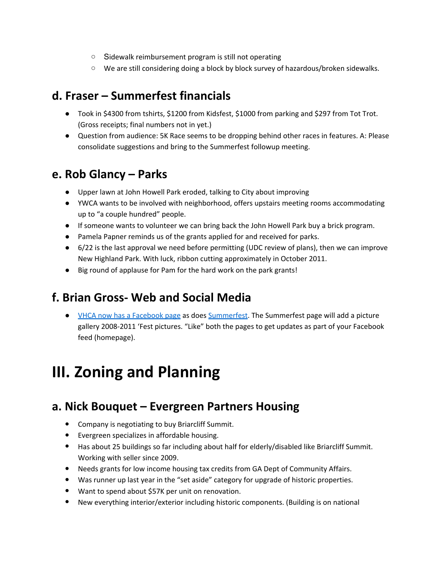- Sidewalk reimbursement program is still not operating
- We are still considering doing a block by block survey of hazardous/broken sidewalks.

#### **d. Fraser – Summerfest financials**

- Took in \$4300 from tshirts, \$1200 from Kidsfest, \$1000 from parking and \$297 from Tot Trot. (Gross receipts; final numbers not in yet.)
- Question from audience: 5K Race seems to be dropping behind other races in features. A: Please consolidate suggestions and bring to the Summerfest followup meeting.

#### **e. Rob Glancy – Parks**

- Upper lawn at John Howell Park eroded, talking to City about improving
- YWCA wants to be involved with neighborhood, offers upstairs meeting rooms accommodating up to "a couple hundred" people.
- If someone wants to volunteer we can bring back the John Howell Park buy a brick program.
- Pamela Papner reminds us of the grants applied for and received for parks.
- 6/22 is the last approval we need before permitting (UDC review of plans), then we can improve New Highland Park. With luck, ribbon cutting approximately in October 2011.
- Big round of applause for Pam for the hard work on the park grants!

#### **f. Brian Gross- Web and Social Media**

● [VHCA](http://www.facebook.com/#!/pages/Virginia-Highland-Civic-Association/122512211163773) now [has](http://www.facebook.com/#!/pages/Virginia-Highland-Civic-Association/122512211163773) a Fac[ebook](http://www.facebook.com/#!/pages/Virginia-Highland-Civic-Association/122512211163773) p[age](http://www.facebook.com/#!/pages/Virginia-Highland-Civic-Association/122512211163773) [a](http://www.facebook.com/#!/pages/Virginia-Highland-Civic-Association/122512211163773)s [does](http://www.facebook.com/#!/pages/Virginia-Highland-Civic-Association/122512211163773) [Summerfest](http://www.facebook.com/#!/pages/Virginia-Highland-Summerfest/164811550248874)[.](http://www.facebook.com/#!/pages/Virginia-Highland-Civic-Association/122512211163773) [The](http://www.facebook.com/#!/pages/Virginia-Highland-Civic-Association/122512211163773) Summerfest page will add a picture gallery 2008-2011 'Fest pictures. "Like" both the pages to get updates as part of your Facebook feed (homepage).

## **III. Zoning and Planning**

#### **a. Nick Bouquet – Evergreen Partners Housing**

- Company is negotiating to buy Briarcliff Summit.
- Evergreen specializes in affordable housing.
- Has about 25 buildings so far including about half for elderly/disabled like Briarcliff Summit. Working with seller since 2009.
- Needs grants for low income housing tax credits from GA Dept of Community Affairs.
- Was runner up last year in the "set aside" category for upgrade of historic properties.
- Want to spend about \$57K per unit on renovation.
- New everything interior/exterior including historic components. (Building is on national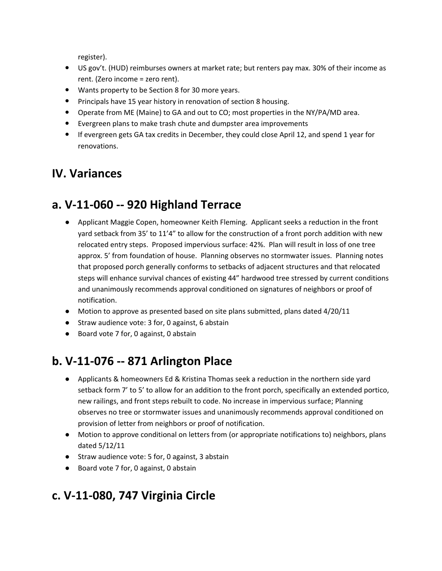register).

- US gov't. (HUD) reimburses owners at market rate; but renters pay max. 30% of their income as rent. (Zero income = zero rent).
- Wants property to be Section 8 for 30 more years.
- Principals have 15 year history in renovation of section 8 housing.
- Operate from ME (Maine) to GA and out to CO; most properties in the NY/PA/MD area.
- Evergreen plans to make trash chute and dumpster area improvements
- If evergreen gets GA tax credits in December, they could close April 12, and spend 1 year for renovations.

#### **IV. Variances**

#### **a. V-11-060 -- 920 Highland Terrace**

- Applicant Maggie Copen, homeowner Keith Fleming. Applicant seeks a reduction in the front yard setback from 35' to 11'4" to allow for the construction of a front porch addition with new relocated entry steps. Proposed impervious surface: 42%. Plan will result in loss of one tree approx. 5' from foundation of house. Planning observes no stormwater issues. Planning notes that proposed porch generally conforms to setbacks of adjacent structures and that relocated steps will enhance survival chances of existing 44" hardwood tree stressed by current conditions and unanimously recommends approval conditioned on signatures of neighbors or proof of notification.
- Motion to approve as presented based on site plans submitted, plans dated 4/20/11
- Straw audience vote: 3 for, 0 against, 6 abstain
- Board vote 7 for, 0 against, 0 abstain

#### **b. V-11-076 -- 871 Arlington Place**

- Applicants & homeowners Ed & Kristina Thomas seek a reduction in the northern side yard setback form 7' to 5' to allow for an addition to the front porch, specifically an extended portico, new railings, and front steps rebuilt to code. No increase in impervious surface; Planning observes no tree or stormwater issues and unanimously recommends approval conditioned on provision of letter from neighbors or proof of notification.
- Motion to approve conditional on letters from (or appropriate notifications to) neighbors, plans dated 5/12/11
- Straw audience vote: 5 for, 0 against, 3 abstain
- Board vote 7 for, 0 against, 0 abstain

#### **c. V-11-080, 747 Virginia Circle**